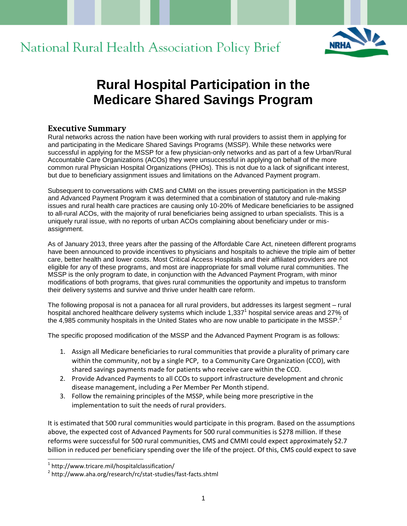



# **Rural Hospital Participation in the Medicare Shared Savings Program**

#### **Executive Summary**

Rural networks across the nation have been working with rural providers to assist them in applying for and participating in the Medicare Shared Savings Programs (MSSP). While these networks were successful in applying for the MSSP for a few physician-only networks and as part of a few Urban/Rural Accountable Care Organizations (ACOs) they were unsuccessful in applying on behalf of the more common rural Physician Hospital Organizations (PHOs). This is not due to a lack of significant interest, but due to beneficiary assignment issues and limitations on the Advanced Payment program.

Subsequent to conversations with CMS and CMMI on the issues preventing participation in the MSSP and Advanced Payment Program it was determined that a combination of statutory and rule-making issues and rural health care practices are causing only 10-20% of Medicare beneficiaries to be assigned to all-rural ACOs, with the majority of rural beneficiaries being assigned to urban specialists. This is a uniquely rural issue, with no reports of urban ACOs complaining about beneficiary under or misassignment.

As of January 2013, three years after the passing of the Affordable Care Act, nineteen different programs have been announced to provide incentives to physicians and hospitals to achieve the triple aim of better care, better health and lower costs. Most Critical Access Hospitals and their affiliated providers are not eligible for any of these programs, and most are inappropriate for small volume rural communities. The MSSP is the only program to date, in conjunction with the Advanced Payment Program, with minor modifications of both programs, that gives rural communities the opportunity and impetus to transform their delivery systems and survive and thrive under health care reform.

The following proposal is not a panacea for all rural providers, but addresses its largest segment – rural hospital anchored healthcare delivery systems which include 1,337<sup>1</sup> hospital service areas and 27% of the 4,985 community hospitals in the United States who are now unable to participate in the MSSP.<sup>2</sup>

The specific proposed modification of the MSSP and the Advanced Payment Program is as follows:

- 1. Assign all Medicare beneficiaries to rural communities that provide a plurality of primary care within the community, not by a single PCP, to a Community Care Organization (CCO), with shared savings payments made for patients who receive care within the CCO.
- 2. Provide Advanced Payments to all CCOs to support infrastructure development and chronic disease management, including a Per Member Per Month stipend.
- 3. Follow the remaining principles of the MSSP, while being more prescriptive in the implementation to suit the needs of rural providers.

It is estimated that 500 rural communities would participate in this program. Based on the assumptions above, the expected cost of Advanced Payments for 500 rural communities is \$278 million. If these reforms were successful for 500 rural communities, CMS and CMMI could expect approximately \$2.7 billion in reduced per beneficiary spending over the life of the project. Of this, CMS could expect to save

<sup>1</sup> http://www.tricare.mil/hospitalclassification/

<sup>&</sup>lt;sup>2</sup> http://www.aha.org/research/rc/stat-studies/fast-facts.shtml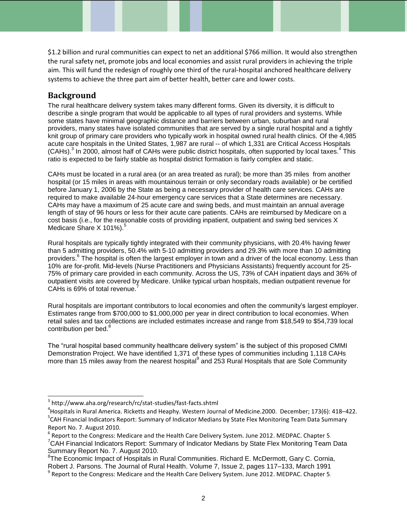\$1.2 billion and rural communities can expect to net an additional \$766 million. It would also strengthen the rural safety net, promote jobs and local economies and assist rural providers in achieving the triple aim. This will fund the redesign of roughly one third of the rural-hospital anchored healthcare delivery systems to achieve the three part aim of better health, better care and lower costs.

#### **Background**

l

The rural healthcare delivery system takes many different forms. Given its diversity, it is difficult to describe a single program that would be applicable to all types of rural providers and systems. While some states have minimal geographic distance and barriers between urban, suburban and rural providers, many states have isolated communities that are served by a single rural hospital and a tightly knit group of primary care providers who typically work in hospital owned rural health clinics. Of the 4,985 acute care hospitals in the United States, 1,987 are rural -- of which 1,331 are Critical Access Hospitals (CAHs).<sup>3</sup> In 2000, almost half of CAHs were public district hospitals, often supported by local taxes.<sup>4</sup> This ratio is expected to be fairly stable as hospital district formation is fairly complex and static.

CAHs must be located in a rural area (or an area treated as rural); be more than 35 miles from another hospital (or 15 miles in areas with mountainous terrain or only secondary roads available) or be certified before January 1, 2006 by the State as being a necessary provider of health care services. CAHs are required to make available 24-hour emergency care services that a State determines are necessary. CAHs may have a maximum of 25 acute care and swing beds, and must maintain an annual average length of stay of 96 hours or less for their acute care patients. CAHs are reimbursed by Medicare on a cost basis (i.e., for the reasonable costs of providing inpatient, outpatient and swing bed services X Medicare Share X 101%).<sup>5</sup>

Rural hospitals are typically tightly integrated with their community physicians, with 20.4% having fewer than 5 admitting providers, 50.4% with 5-10 admitting providers and 29.3% with more than 10 admitting providers.<sup>6</sup> The hospital is often the largest employer in town and a driver of the local economy. Less than 10% are for-profit. Mid-levels (Nurse Practitioners and Physicians Assistants) frequently account for 25- 75% of primary care provided in each community. Across the US, 73% of CAH inpatient days and 36% of outpatient visits are covered by Medicare. Unlike typical urban hospitals, median outpatient revenue for CAHs is 69% of total revenue.<sup>7</sup>

Rural hospitals are important contributors to local economies and often the community's largest employer. Estimates range from \$700,000 to \$1,000,000 per year in direct contribution to local economies. When retail sales and tax collections are included estimates increase and range from \$18,549 to \$54,739 local contribution per bed.<sup>8</sup>

The "rural hospital based community healthcare delivery system" is the subject of this proposed CMMI Demonstration Project. We have identified 1,371 of these types of communities including 1,118 CAHs more than 15 miles away from the nearest hospital $^9$  and 253 Rural Hospitals that are Sole Community

<sup>3</sup> http://www.aha.org/research/rc/stat-studies/fast-facts.shtml

<sup>4</sup> Hospitals in Rural America. Ricketts and Heaphy. Western Journal of Medicine.2000. [December; 173\(6\): 418](http://www.ncbi.nlm.nih.gov/pmc/articles/PMC1071201/)–422. <sup>5</sup>CAH Financial Indicators Report: Summary of Indicator Medians by State Flex Monitoring Team Data Summary Report No. 7. August 2010.

 $^6$  Report to the Congress: Medicare and the Health Care Delivery System. June 2012. MEDPAC. Chapter 5.  $7$ CAH Financial Indicators Report: Summary of Indicator Medians by State Flex Monitoring Team Data Summary Report No. 7. August 2010.

<sup>&</sup>lt;sup>8</sup>The Economic Impact of Hospitals in Rural Communities. Richard E. McDermott, Gary C. Cornia, Robert J. Parsons. The Journal of Rural Health. [Volume 7, Issue 2, p](http://onlinelibrary.wiley.com/doi/10.1111/jrh.1991.7.issue-2/issuetoc)ages 117–133, March 1991

<sup>&</sup>lt;sup>9</sup> Report to the Congress: Medicare and the Health Care Delivery System. June 2012. MEDPAC. Chapter 5.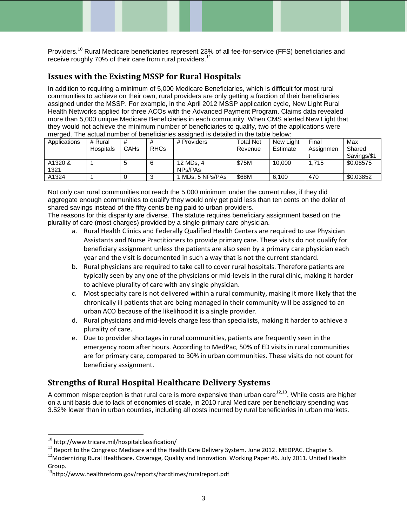Providers.<sup>10</sup> Rural Medicare beneficiaries represent 23% of all fee-for-service (FFS) beneficiaries and receive roughly 70% of their care from rural providers.<sup>11</sup>

### **Issues with the Existing MSSP for Rural Hospitals**

In addition to requiring a minimum of 5,000 Medicare Beneficiaries, which is difficult for most rural communities to achieve on their own, rural providers are only getting a fraction of their beneficiaries assigned under the MSSP. For example, in the April 2012 MSSP application cycle, New Light Rural Health Networks applied for three ACOs with the Advanced Payment Program. Claims data revealed more than 5,000 unique Medicare Beneficiaries in each community. When CMS alerted New Light that they would not achieve the minimum number of beneficiaries to qualify, two of the applications were merged. The actual number of beneficiaries assigned is detailed in the table below:

| Applications | # Rural          |                  |             | # Providers    | <b>Total Net</b> | New Light | Final     | Max         |
|--------------|------------------|------------------|-------------|----------------|------------------|-----------|-----------|-------------|
|              | <b>Hospitals</b> | CAH <sub>s</sub> | <b>RHCs</b> |                | Revenue          | Estimate  | Assignmen | Shared      |
|              |                  |                  |             |                |                  |           |           | Savings/\$1 |
| A1320 &      |                  |                  | 6           | 12 MDs, 4      | \$75M            | 10.000    | 1.715     | \$0.08575   |
| 1321         |                  |                  |             | NPs/PAs        |                  |           |           |             |
| A1324        |                  |                  |             | MDs. 5 NPs/PAs | \$68M            | 6.100     | 470       | \$0.03852   |

Not only can rural communities not reach the 5,000 minimum under the current rules, if they did aggregate enough communities to qualify they would only get paid less than ten cents on the dollar of shared savings instead of the fifty cents being paid to urban providers.

The reasons for this disparity are diverse. The statute requires beneficiary assignment based on the plurality of care (most charges) provided by a single primary care physician.

- a. Rural Health Clinics and Federally Qualified Health Centers are required to use Physician Assistants and Nurse Practitioners to provide primary care. These visits do not qualify for beneficiary assignment unless the patients are also seen by a primary care physician each year and the visit is documented in such a way that is not the current standard.
- b. Rural physicians are required to take call to cover rural hospitals. Therefore patients are typically seen by any one of the physicians or mid-levels in the rural clinic, making it harder to achieve plurality of care with any single physician.
- c. Most specialty care is not delivered within a rural community, making it more likely that the chronically ill patients that are being managed in their community will be assigned to an urban ACO because of the likelihood it is a single provider.
- d. Rural physicians and mid-levels charge less than specialists, making it harder to achieve a plurality of care.
- e. Due to provider shortages in rural communities, patients are frequently seen in the emergency room after hours. According to MedPac, 50% of ED visits in rural communities are for primary care, compared to 30% in urban communities. These visits do not count for beneficiary assignment.

# **Strengths of Rural Hospital Healthcare Delivery Systems**

A common misperception is that rural care is more expensive than urban care  $12,13$ . While costs are higher on a unit basis due to lack of economies of scale, in 2010 rural Medicare per beneficiary spending was 3.52% lower than in urban counties, including all costs incurred by rural beneficiaries in urban markets.

 $10$  http://www.tricare.mil/hospitalclassification/

<sup>&</sup>lt;sup>11</sup> Report to the Congress: Medicare and the Health Care Delivery System. June 2012. MEDPAC. Chapter 5.

<sup>&</sup>lt;sup>12</sup>Modernizing Rural Healthcare. Coverage, Quality and Innovation. Working Paper #6. July 2011. United Health Group.

<sup>13</sup>http://www.healthreform.gov/reports/hardtimes/ruralreport.pdf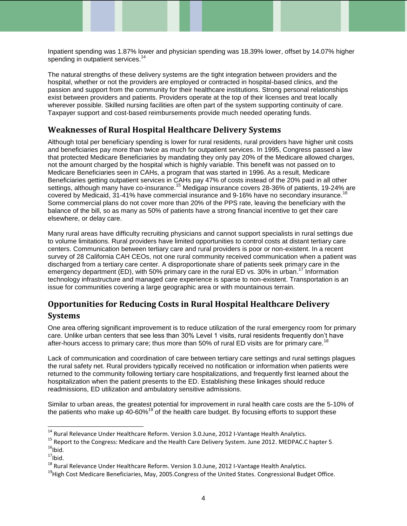Inpatient spending was 1.87% lower and physician spending was 18.39% lower, offset by 14.07% higher spending in outpatient services.<sup>14</sup>

The natural strengths of these delivery systems are the tight integration between providers and the hospital, whether or not the providers are employed or contracted in hospital-based clinics, and the passion and support from the community for their healthcare institutions. Strong personal relationships exist between providers and patients. Providers operate at the top of their licenses and treat locally wherever possible. Skilled nursing facilities are often part of the system supporting continuity of care. Taxpayer support and cost-based reimbursements provide much needed operating funds.

#### **Weaknesses of Rural Hospital Healthcare Delivery Systems**

Although total per beneficiary spending is lower for rural residents, rural providers have higher unit costs and beneficiaries pay more than twice as much for outpatient services. In 1995, Congress passed a law that protected Medicare Beneficiaries by mandating they only pay 20% of the Medicare allowed charges, not the amount charged by the hospital which is highly variable. This benefit was not passed on to Medicare Beneficiaries seen in CAHs, a program that was started in 1996. As a result, Medicare Beneficiaries getting outpatient services in CAHs pay 47% of costs instead of the 20% paid in all other settings, although many have co-insurance.<sup>15</sup> Medigap insurance covers 28-36% of patients, 19-24% are covered by Medicaid, 31-41% have commercial insurance and 9-16% have no secondary insurance. Some commercial plans do not cover more than 20% of the PPS rate, leaving the beneficiary with the balance of the bill, so as many as 50% of patients have a strong financial incentive to get their care elsewhere, or delay care.

Many rural areas have difficulty recruiting physicians and cannot support specialists in rural settings due to volume limitations. Rural providers have limited opportunities to control costs at distant tertiary care centers. Communication between tertiary care and rural providers is poor or non-existent. In a recent survey of 28 California CAH CEOs, not one rural community received communication when a patient was discharged from a tertiary care center. A disproportionate share of patients seek primary care in the emergency department (ED), with 50% primary care in the rural ED vs. 30% in urban.<sup>17</sup> Information technology infrastructure and managed care experience is sparse to non-existent. Transportation is an issue for communities covering a large geographic area or with mountainous terrain.

# **Opportunities for Reducing Costs in Rural Hospital Healthcare Delivery Systems**

One area offering significant improvement is to reduce utilization of the rural emergency room for primary care. Unlike urban centers that see less than 30% Level 1 visits, rural residents frequently don't have after-hours access to primary care; thus more than 50% of rural ED visits are for primary care.<sup>18</sup>

Lack of communication and coordination of care between tertiary care settings and rural settings plagues the rural safety net. Rural providers typically received no notification or information when patients were returned to the community following tertiary care hospitalizations, and frequently first learned about the hospitalization when the patient presents to the ED. Establishing these linkages should reduce readmissions, ED utilization and ambulatory sensitive admissions.

Similar to urban areas, the greatest potential for improvement in rural health care costs are the 5-10% of the patients who make up  $40-60\%$ <sup>19</sup> of the health care budget. By focusing efforts to support these

<sup>&</sup>lt;sup>14</sup> Rural Relevance Under Healthcare Reform. Version 3.0.June, 2012 I-Vantage Health Analytics.

<sup>&</sup>lt;sup>15</sup> Report to the Congress: Medicare and the Health Care Delivery System. June 2012. MEDPAC.C hapter 5.

 $16$ Ibid.

 $17$ Ibid.

<sup>&</sup>lt;sup>18</sup> Rural Relevance Under Healthcare Reform. Version 3.0.June, 2012 I-Vantage Health Analytics.

<sup>&</sup>lt;sup>19</sup>High Cost Medicare Beneficiaries, May, 2005.Congress of the United States. Congressional Budget Office.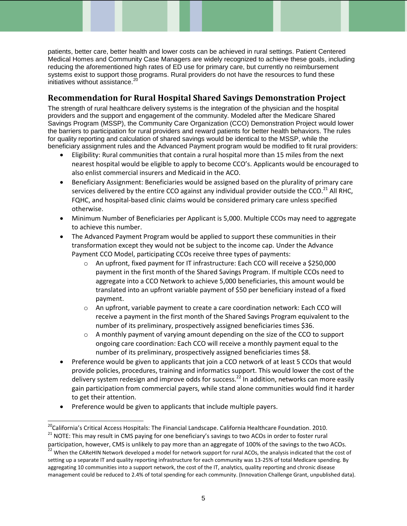patients, better care, better health and lower costs can be achieved in rural settings. Patient Centered Medical Homes and Community Case Managers are widely recognized to achieve these goals, including reducing the aforementioned high rates of ED use for primary care, but currently no reimbursement systems exist to support those programs. Rural providers do not have the resources to fund these initiatives without assistance.<sup>20</sup>

# **Recommendation for Rural Hospital Shared Savings Demonstration Project**

The strength of rural healthcare delivery systems is the integration of the physician and the hospital providers and the support and engagement of the community. Modeled after the Medicare Shared Savings Program (MSSP), the Community Care Organization (CCO) Demonstration Project would lower the barriers to participation for rural providers and reward patients for better health behaviors. The rules for quality reporting and calculation of shared savings would be identical to the MSSP, while the beneficiary assignment rules and the Advanced Payment program would be modified to fit rural providers:

- Eligibility: Rural communities that contain a rural hospital more than 15 miles from the next nearest hospital would be eligible to apply to become CCO's. Applicants would be encouraged to also enlist commercial insurers and Medicaid in the ACO.
- Beneficiary Assignment: Beneficiaries would be assigned based on the plurality of primary care services delivered by the entire CCO against any individual provider outside the CCO.<sup>21</sup> All RHC, FQHC, and hospital-based clinic claims would be considered primary care unless specified otherwise.
- Minimum Number of Beneficiaries per Applicant is 5,000. Multiple CCOs may need to aggregate to achieve this number.
- The Advanced Payment Program would be applied to support these communities in their transformation except they would not be subject to the income cap. Under the Advance Payment CCO Model, participating CCOs receive three types of payments:
	- o An upfront, fixed payment for IT infrastructure: Each CCO will receive a \$250,000 payment in the first month of the Shared Savings Program. If multiple CCOs need to aggregate into a CCO Network to achieve 5,000 beneficiaries, this amount would be translated into an upfront variable payment of \$50 per beneficiary instead of a fixed payment.
	- o An upfront, variable payment to create a care coordination network: Each CCO will receive a payment in the first month of the Shared Savings Program equivalent to the number of its preliminary, prospectively assigned beneficiaries times \$36.
	- $\circ$  A monthly payment of varying amount depending on the size of the CCO to support ongoing care coordination: Each CCO will receive a monthly payment equal to the number of its preliminary, prospectively assigned beneficiaries times \$8.
- Preference would be given to applicants that join a CCO network of at least 5 CCOs that would provide policies, procedures, training and informatics support. This would lower the cost of the delivery system redesign and improve odds for success.<sup>22</sup> In addition, networks can more easily gain participation from commercial payers, while stand alone communities would find it harder to get their attention.
- Preference would be given to applicants that include multiple payers.

<sup>&</sup>lt;sup>20</sup>California's Critical Access Hospitals: The Financial Landscape. California Healthcare Foundation. 2010. 21 NOTE: This may result in CMS paying for one beneficiary's savings to two ACOs in order to foster rural

participation, however, CMS is unlikely to pay more than an aggregate of 100% of the savings to the two ACOs. <sup>22</sup> When the CAReHIN Network developed a model for network support for rural ACOs, the analysis indicated that the cost of setting up a separate IT and quality reporting infrastructure for each community was 13-25% of total Medicare spending. By aggregating 10 communities into a support network, the cost of the IT, analytics, quality reporting and chronic disease management could be reduced to 2.4% of total spending for each community. (Innovation Challenge Grant, unpublished data).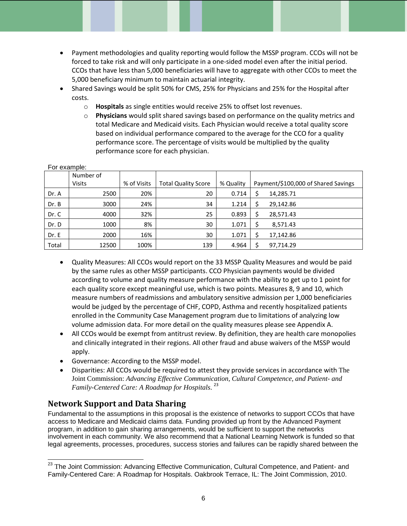- Payment methodologies and quality reporting would follow the MSSP program. CCOs will not be forced to take risk and will only participate in a one-sided model even after the initial period. CCOs that have less than 5,000 beneficiaries will have to aggregate with other CCOs to meet the 5,000 beneficiary minimum to maintain actuarial integrity.
- Shared Savings would be split 50% for CMS, 25% for Physicians and 25% for the Hospital after costs.
	- o **Hospitals** as single entities would receive 25% to offset lost revenues.
	- o **Physicians** would split shared savings based on performance on the quality metrics and total Medicare and Medicaid visits. Each Physician would receive a total quality score based on individual performance compared to the average for the CCO for a quality performance score. The percentage of visits would be multiplied by the quality performance score for each physician.

| u canipic. |               |             |                            |           |                                     |           |
|------------|---------------|-------------|----------------------------|-----------|-------------------------------------|-----------|
| Number of  |               |             |                            |           |                                     |           |
|            | <b>Visits</b> | % of Visits | <b>Total Quality Score</b> | % Quality | Payment/\$100,000 of Shared Savings |           |
| Dr. A      | 2500          | 20%         | 20                         | 0.714     | Ś                                   | 14,285.71 |
| Dr. B      | 3000          | 24%         | 34                         | 1.214     | Ś                                   | 29,142.86 |
| Dr. C      | 4000          | 32%         | 25                         | 0.893     | Ś                                   | 28,571.43 |
| Dr. D      | 1000          | 8%          | 30                         | 1.071     | Ś                                   | 8,571.43  |
| Dr. E      | 2000          | 16%         | 30                         | 1.071     |                                     | 17,142.86 |
| Total      | 12500         | 100%        | 139                        | 4.964     | Ś                                   | 97,714.29 |

 Quality Measures: All CCOs would report on the 33 MSSP Quality Measures and would be paid by the same rules as other MSSP participants. CCO Physician payments would be divided according to volume and quality measure performance with the ability to get up to 1 point for each quality score except meaningful use, which is two points. Measures 8, 9 and 10, which measure numbers of readmissions and ambulatory sensitive admission per 1,000 beneficiaries would be judged by the percentage of CHF, COPD, Asthma and recently hospitalized patients enrolled in the Community Case Management program due to limitations of analyzing low

- volume admission data. For more detail on the quality measures please see Appendix A. All CCOs would be exempt from antitrust review. By definition, they are health care monopolies and clinically integrated in their regions. All other fraud and abuse waivers of the MSSP would apply.
- Governance: According to the MSSP model.
- Disparities: All CCOs would be required to attest they provide services in accordance with The Joint Commission: *Advancing Effective Communication, Cultural Competence, and Patient- and Family-Centered Care: A Roadmap for Hospitals*. 23

# **Network Support and Data Sharing**

For example:

Fundamental to the assumptions in this proposal is the existence of networks to support CCOs that have access to Medicare and Medicaid claims data. Funding provided up front by the Advanced Payment program, in addition to gain sharing arrangements, would be sufficient to support the networks involvement in each community. We also recommend that a National Learning Network is funded so that legal agreements, processes, procedures, success stories and failures can be rapidly shared between the

l <sup>23</sup> The Joint Commission: Advancing Effective Communication, Cultural Competence, and Patient- and Family-Centered Care: A Roadmap for Hospitals. Oakbrook Terrace, IL: The Joint Commission, 2010.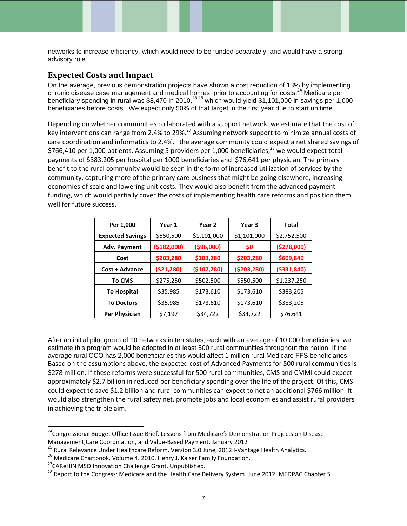networks to increase efficiency, which would need to be funded separately, and would have a strong advisory role.

#### **Expected Costs and Impact**

On the average, previous demonstration projects have shown a cost reduction of 13% by implementing chronic disease case management and medical homes, prior to accounting for costs.<sup>24</sup> Medicare per beneficiary spending in rural was \$8,470 in 2010,<sup>25,26</sup> which would yield \$1,101,000 in savings per 1,000 beneficiaries before costs. We expect only 50% of that target in the first year due to start up time.

Depending on whether communities collaborated with a support network, we estimate that the cost of key interventions can range from 2.4% to 29%.<sup>27</sup> Assuming network support to minimize annual costs of care coordination and informatics to 2.4%, the average community could expect a net shared savings of \$766,410 per 1,000 patients. Assuming 5 providers per 1,000 beneficiaries,<sup>28</sup> we would expect total payments of \$383,205 per hospital per 1000 beneficiaries and \$76,641 per physician. The primary benefit to the rural community would be seen in the form of increased utilization of services by the community, capturing more of the primary care business that might be going elsewhere, increasing economies of scale and lowering unit costs. They would also benefit from the advanced payment funding, which would partially cover the costs of implementing health care reforms and position them well for future success.

| Per 1,000               | Year 1       | Year <sub>2</sub> | Year <sub>3</sub> | Total         |
|-------------------------|--------------|-------------------|-------------------|---------------|
| <b>Expected Savings</b> | \$550,500    | \$1,101,000       | \$1,101,000       | \$2,752,500   |
| Adv. Payment            | ( \$182,000] | ( \$96,000]       | \$0               | (\$278,000)   |
| Cost                    | \$203,280    | \$203,280         | \$203,280         | \$609,840     |
| Cost + Advance          | ( \$21, 280) | ( \$107, 280)     | ( \$203, 280)     | ( \$331, 840) |
| <b>To CMS</b>           | \$275,250    | \$502,500         | \$550,500         | \$1,237,250   |
| <b>To Hospital</b>      | \$35,985     | \$173,610         | \$173,610         | \$383,205     |
| <b>To Doctors</b>       | \$35,985     | \$173,610         | \$173,610         | \$383,205     |
| Per Physician           | \$7,197      | \$34,722          | \$34,722          | \$76,641      |

After an initial pilot group of 10 networks in ten states, each with an average of 10,000 beneficiaries, we estimate this program would be adopted in at least 500 rural communities throughout the nation. If the average rural CCO has 2,000 beneficiaries this would affect 1 million rural Medicare FFS beneficiaries. Based on the assumptions above, the expected cost of Advanced Payments for 500 rural communities is \$278 million. If these reforms were successful for 500 rural communities, CMS and CMMI could expect approximately \$2.7 billion in reduced per beneficiary spending over the life of the project. Of this, CMS could expect to save \$1.2 billion and rural communities can expect to net an additional \$766 million. It would also strengthen the rural safety net, promote jobs and local economies and assist rural providers in achieving the triple aim.

<sup>&</sup>lt;sup>24</sup>Congressional Budget Office Issue Brief. Lessons from Medicare's Demonstration Projects on Disease Management,Care Coordination, and Value-Based Payment. January 2012

<sup>&</sup>lt;sup>25</sup> Rural Relevance Under Healthcare Reform. Version 3.0.June, 2012 I-Vantage Health Analytics.

<sup>&</sup>lt;sup>26</sup> Medicare Chartbook. Volume 4. 2010. Henry J. Kaiser Family Foundation.

<sup>&</sup>lt;sup>27</sup> CAReHIN MSO Innovation Challenge Grant. Unpublished.

<sup>&</sup>lt;sup>28</sup> Report to the Congress: Medicare and the Health Care Delivery System. June 2012. MEDPAC.Chapter 5.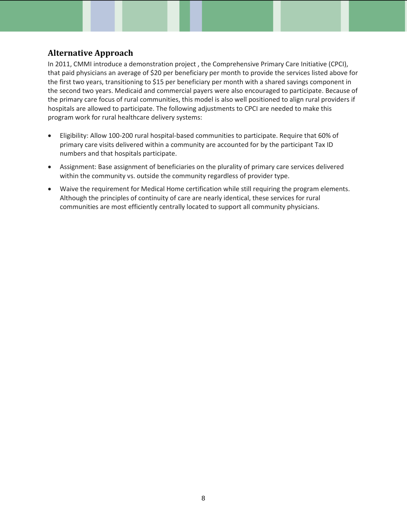#### **Alternative Approach**

In 2011, CMMI introduce a demonstration project , the Comprehensive Primary Care Initiative (CPCI), that paid physicians an average of \$20 per beneficiary per month to provide the services listed above for the first two years, transitioning to \$15 per beneficiary per month with a shared savings component in the second two years. Medicaid and commercial payers were also encouraged to participate. Because of the primary care focus of rural communities, this model is also well positioned to align rural providers if hospitals are allowed to participate. The following adjustments to CPCI are needed to make this program work for rural healthcare delivery systems:

- Eligibility: Allow 100-200 rural hospital-based communities to participate. Require that 60% of primary care visits delivered within a community are accounted for by the participant Tax ID numbers and that hospitals participate.
- Assignment: Base assignment of beneficiaries on the plurality of primary care services delivered within the community vs. outside the community regardless of provider type.
- Waive the requirement for Medical Home certification while still requiring the program elements. Although the principles of continuity of care are nearly identical, these services for rural communities are most efficiently centrally located to support all community physicians.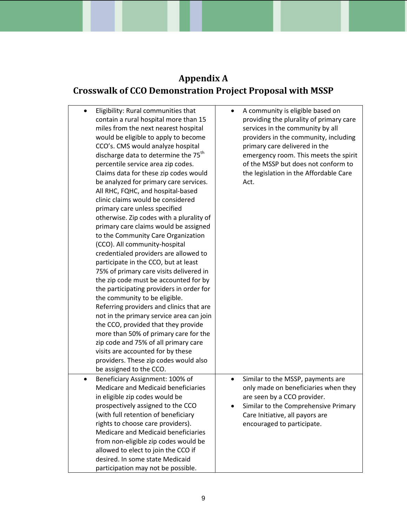# **Appendix A Crosswalk of CCO Demonstration Project Proposal with MSSP**

| Eligibility: Rural communities that<br>$\bullet$<br>contain a rural hospital more than 15<br>miles from the next nearest hospital<br>would be eligible to apply to become<br>CCO's. CMS would analyze hospital<br>discharge data to determine the 75 <sup>th</sup><br>percentile service area zip codes.<br>Claims data for these zip codes would<br>be analyzed for primary care services.<br>All RHC, FQHC, and hospital-based<br>clinic claims would be considered<br>primary care unless specified<br>otherwise. Zip codes with a plurality of<br>primary care claims would be assigned<br>to the Community Care Organization<br>(CCO). All community-hospital<br>credentialed providers are allowed to<br>participate in the CCO, but at least<br>75% of primary care visits delivered in<br>the zip code must be accounted for by<br>the participating providers in order for<br>the community to be eligible.<br>Referring providers and clinics that are<br>not in the primary service area can join<br>the CCO, provided that they provide<br>more than 50% of primary care for the<br>zip code and 75% of all primary care<br>visits are accounted for by these<br>providers. These zip codes would also | A community is eligible based on<br>٠<br>providing the plurality of primary care<br>services in the community by all<br>providers in the community, including<br>primary care delivered in the<br>emergency room. This meets the spirit<br>of the MSSP but does not conform to<br>the legislation in the Affordable Care<br>Act. |
|--------------------------------------------------------------------------------------------------------------------------------------------------------------------------------------------------------------------------------------------------------------------------------------------------------------------------------------------------------------------------------------------------------------------------------------------------------------------------------------------------------------------------------------------------------------------------------------------------------------------------------------------------------------------------------------------------------------------------------------------------------------------------------------------------------------------------------------------------------------------------------------------------------------------------------------------------------------------------------------------------------------------------------------------------------------------------------------------------------------------------------------------------------------------------------------------------------------------|----------------------------------------------------------------------------------------------------------------------------------------------------------------------------------------------------------------------------------------------------------------------------------------------------------------------------------|
| be assigned to the CCO.<br>Beneficiary Assignment: 100% of<br>$\bullet$<br>Medicare and Medicaid beneficiaries<br>in eligible zip codes would be<br>prospectively assigned to the CCO<br>(with full retention of beneficiary<br>rights to choose care providers).<br>Medicare and Medicaid beneficiaries<br>from non-eligible zip codes would be<br>allowed to elect to join the CCO if<br>desired. In some state Medicaid<br>participation may not be possible.                                                                                                                                                                                                                                                                                                                                                                                                                                                                                                                                                                                                                                                                                                                                                   | Similar to the MSSP, payments are<br>$\bullet$<br>only made on beneficiaries when they<br>are seen by a CCO provider.<br>Similar to the Comprehensive Primary<br>Care Initiative, all payors are<br>encouraged to participate.                                                                                                   |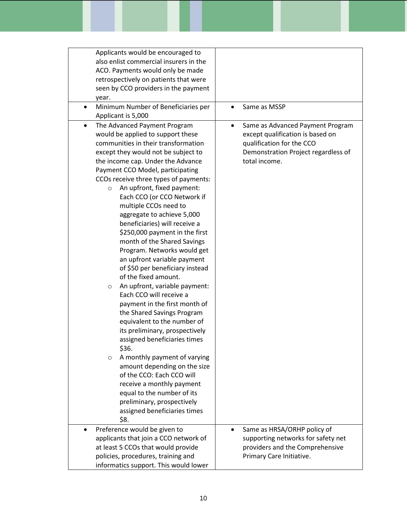| Applicants would be encouraged to<br>also enlist commercial insurers in the<br>ACO. Payments would only be made<br>retrospectively on patients that were<br>seen by CCO providers in the payment<br>year.                                                                                                                                                                                                                                                                                                                                                                                                                                                                                                                                                                                                                                                                                                                                                                                                                                                                                                                         |                                                                                                                                                                        |
|-----------------------------------------------------------------------------------------------------------------------------------------------------------------------------------------------------------------------------------------------------------------------------------------------------------------------------------------------------------------------------------------------------------------------------------------------------------------------------------------------------------------------------------------------------------------------------------------------------------------------------------------------------------------------------------------------------------------------------------------------------------------------------------------------------------------------------------------------------------------------------------------------------------------------------------------------------------------------------------------------------------------------------------------------------------------------------------------------------------------------------------|------------------------------------------------------------------------------------------------------------------------------------------------------------------------|
| Minimum Number of Beneficiaries per<br>Applicant is 5,000                                                                                                                                                                                                                                                                                                                                                                                                                                                                                                                                                                                                                                                                                                                                                                                                                                                                                                                                                                                                                                                                         | Same as MSSP<br>$\bullet$                                                                                                                                              |
| The Advanced Payment Program<br>$\bullet$<br>would be applied to support these<br>communities in their transformation<br>except they would not be subject to<br>the income cap. Under the Advance<br>Payment CCO Model, participating<br>CCOs receive three types of payments:<br>An upfront, fixed payment:<br>$\circ$<br>Each CCO (or CCO Network if<br>multiple CCOs need to<br>aggregate to achieve 5,000<br>beneficiaries) will receive a<br>\$250,000 payment in the first<br>month of the Shared Savings<br>Program. Networks would get<br>an upfront variable payment<br>of \$50 per beneficiary instead<br>of the fixed amount.<br>An upfront, variable payment:<br>$\circ$<br>Each CCO will receive a<br>payment in the first month of<br>the Shared Savings Program<br>equivalent to the number of<br>its preliminary, prospectively<br>assigned beneficiaries times<br>\$36.<br>A monthly payment of varying<br>$\circ$<br>amount depending on the size<br>of the CCO: Each CCO will<br>receive a monthly payment<br>equal to the number of its<br>preliminary, prospectively<br>assigned beneficiaries times<br>\$8. | Same as Advanced Payment Program<br>$\bullet$<br>except qualification is based on<br>qualification for the CCO<br>Demonstration Project regardless of<br>total income. |
| Preference would be given to<br>applicants that join a CCO network of                                                                                                                                                                                                                                                                                                                                                                                                                                                                                                                                                                                                                                                                                                                                                                                                                                                                                                                                                                                                                                                             | Same as HRSA/ORHP policy of<br>٠<br>supporting networks for safety net                                                                                                 |
| at least 5 CCOs that would provide                                                                                                                                                                                                                                                                                                                                                                                                                                                                                                                                                                                                                                                                                                                                                                                                                                                                                                                                                                                                                                                                                                | providers and the Comprehensive                                                                                                                                        |
| policies, procedures, training and<br>informatics support. This would lower                                                                                                                                                                                                                                                                                                                                                                                                                                                                                                                                                                                                                                                                                                                                                                                                                                                                                                                                                                                                                                                       | Primary Care Initiative.                                                                                                                                               |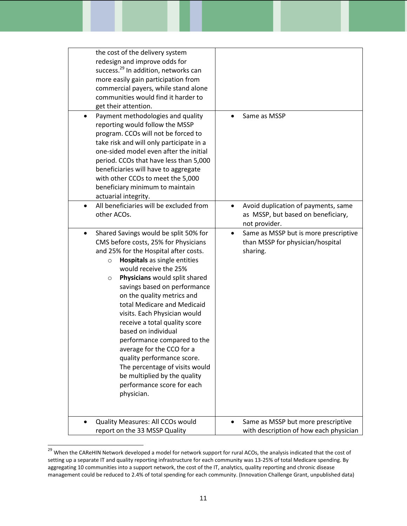| the cost of the delivery system<br>redesign and improve odds for<br>success. <sup>29</sup> In addition, networks can<br>more easily gain participation from<br>commercial payers, while stand alone<br>communities would find it harder to<br>get their attention.                                                                                                                                                                                                                                                                                                                                                                               |                                                                                                    |
|--------------------------------------------------------------------------------------------------------------------------------------------------------------------------------------------------------------------------------------------------------------------------------------------------------------------------------------------------------------------------------------------------------------------------------------------------------------------------------------------------------------------------------------------------------------------------------------------------------------------------------------------------|----------------------------------------------------------------------------------------------------|
| Payment methodologies and quality<br>$\bullet$<br>reporting would follow the MSSP<br>program. CCOs will not be forced to<br>take risk and will only participate in a<br>one-sided model even after the initial<br>period. CCOs that have less than 5,000<br>beneficiaries will have to aggregate<br>with other CCOs to meet the 5,000<br>beneficiary minimum to maintain<br>actuarial integrity.                                                                                                                                                                                                                                                 | Same as MSSP                                                                                       |
| All beneficiaries will be excluded from<br>$\bullet$<br>other ACOs.                                                                                                                                                                                                                                                                                                                                                                                                                                                                                                                                                                              | Avoid duplication of payments, same<br>as MSSP, but based on beneficiary,<br>not provider.         |
| Shared Savings would be split 50% for<br>$\bullet$<br>CMS before costs, 25% for Physicians<br>and 25% for the Hospital after costs.<br>Hospitals as single entities<br>$\circ$<br>would receive the 25%<br>Physicians would split shared<br>$\circ$<br>savings based on performance<br>on the quality metrics and<br>total Medicare and Medicaid<br>visits. Each Physician would<br>receive a total quality score<br>based on individual<br>performance compared to the<br>average for the CCO for a<br>quality performance score.<br>The percentage of visits would<br>be multiplied by the quality<br>performance score for each<br>physician. | Same as MSSP but is more prescriptive<br>$\bullet$<br>than MSSP for physician/hospital<br>sharing. |
| Quality Measures: All CCOs would<br>report on the 33 MSSP Quality                                                                                                                                                                                                                                                                                                                                                                                                                                                                                                                                                                                | Same as MSSP but more prescriptive<br>with description of how each physician                       |

<sup>&</sup>lt;sup>29</sup> When the CAReHIN Network developed a model for network support for rural ACOs, the analysis indicated that the cost of setting up a separate IT and quality reporting infrastructure for each community was 13-25% of total Medicare spending. By aggregating 10 communities into a support network, the cost of the IT, analytics, quality reporting and chronic disease management could be reduced to 2.4% of total spending for each community. (Innovation Challenge Grant, unpublished data)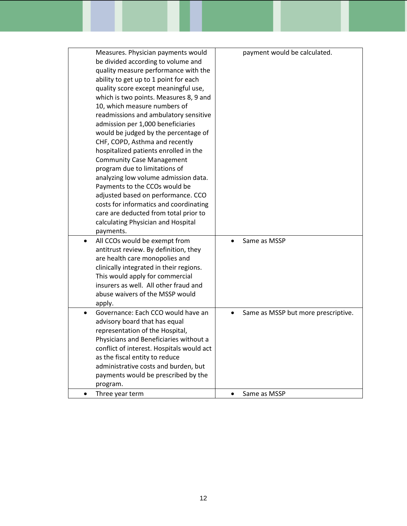| Measures. Physician payments would<br>be divided according to volume and<br>quality measure performance with the<br>ability to get up to 1 point for each<br>quality score except meaningful use,<br>which is two points. Measures 8, 9 and<br>10, which measure numbers of<br>readmissions and ambulatory sensitive<br>admission per 1,000 beneficiaries<br>would be judged by the percentage of<br>CHF, COPD, Asthma and recently<br>hospitalized patients enrolled in the<br><b>Community Case Management</b><br>program due to limitations of<br>analyzing low volume admission data.<br>Payments to the CCOs would be<br>adjusted based on performance. CCO<br>costs for informatics and coordinating<br>care are deducted from total prior to<br>calculating Physician and Hospital<br>payments. | payment would be calculated.        |
|--------------------------------------------------------------------------------------------------------------------------------------------------------------------------------------------------------------------------------------------------------------------------------------------------------------------------------------------------------------------------------------------------------------------------------------------------------------------------------------------------------------------------------------------------------------------------------------------------------------------------------------------------------------------------------------------------------------------------------------------------------------------------------------------------------|-------------------------------------|
| All CCOs would be exempt from<br>antitrust review. By definition, they<br>are health care monopolies and<br>clinically integrated in their regions.<br>This would apply for commercial<br>insurers as well. All other fraud and<br>abuse waivers of the MSSP would<br>apply.                                                                                                                                                                                                                                                                                                                                                                                                                                                                                                                           | Same as MSSP                        |
| Governance: Each CCO would have an<br>advisory board that has equal<br>representation of the Hospital,<br>Physicians and Beneficiaries without a<br>conflict of interest. Hospitals would act<br>as the fiscal entity to reduce<br>administrative costs and burden, but<br>payments would be prescribed by the<br>program.                                                                                                                                                                                                                                                                                                                                                                                                                                                                             | Same as MSSP but more prescriptive. |
| Three year term                                                                                                                                                                                                                                                                                                                                                                                                                                                                                                                                                                                                                                                                                                                                                                                        | Same as MSSP<br>$\bullet$           |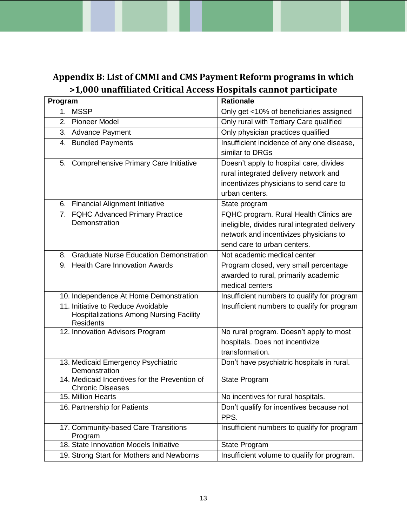# **Appendix B: List of CMMI and CMS Payment Reform programs in which >1,000 unaffiliated Critical Access Hospitals cannot participate**

| Program                                                                                                  | Rationale                                                                                                                                                        |
|----------------------------------------------------------------------------------------------------------|------------------------------------------------------------------------------------------------------------------------------------------------------------------|
| <b>MSSP</b><br>1.                                                                                        | Only get <10% of beneficiaries assigned                                                                                                                          |
| 2. Pioneer Model                                                                                         | Only rural with Tertiary Care qualified                                                                                                                          |
| 3.<br><b>Advance Payment</b>                                                                             | Only physician practices qualified                                                                                                                               |
| 4. Bundled Payments                                                                                      | Insufficient incidence of any one disease,<br>similar to DRGs                                                                                                    |
| 5.<br><b>Comprehensive Primary Care Initiative</b>                                                       | Doesn't apply to hospital care, divides<br>rural integrated delivery network and<br>incentivizes physicians to send care to<br>urban centers.                    |
| 6. Financial Alignment Initiative                                                                        | State program                                                                                                                                                    |
| 7. FQHC Advanced Primary Practice<br>Demonstration                                                       | FQHC program. Rural Health Clinics are<br>ineligible, divides rural integrated delivery<br>network and incentivizes physicians to<br>send care to urban centers. |
| <b>Graduate Nurse Education Demonstration</b><br>8.                                                      | Not academic medical center                                                                                                                                      |
| 9. Health Care Innovation Awards                                                                         | Program closed, very small percentage<br>awarded to rural, primarily academic<br>medical centers                                                                 |
| 10. Independence At Home Demonstration                                                                   | Insufficient numbers to qualify for program                                                                                                                      |
| 11. Initiative to Reduce Avoidable<br><b>Hospitalizations Among Nursing Facility</b><br><b>Residents</b> | Insufficient numbers to qualify for program                                                                                                                      |
| 12. Innovation Advisors Program                                                                          | No rural program. Doesn't apply to most<br>hospitals. Does not incentivize<br>transformation.                                                                    |
| 13. Medicaid Emergency Psychiatric<br>Demonstration                                                      | Don't have psychiatric hospitals in rural.                                                                                                                       |
| 14. Medicaid Incentives for the Prevention of<br><b>Chronic Diseases</b>                                 | State Program                                                                                                                                                    |
| 15. Million Hearts                                                                                       | No incentives for rural hospitals.                                                                                                                               |
| 16. Partnership for Patients                                                                             | Don't qualify for incentives because not<br>PPS.                                                                                                                 |
| 17. Community-based Care Transitions<br>Program                                                          | Insufficient numbers to qualify for program                                                                                                                      |
| 18. State Innovation Models Initiative                                                                   | State Program                                                                                                                                                    |
| 19. Strong Start for Mothers and Newborns                                                                | Insufficient volume to qualify for program.                                                                                                                      |